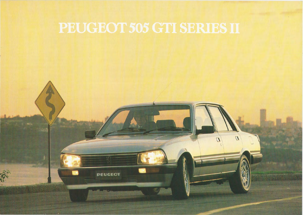

**PEUGEOT** 

 $\boldsymbol{B}$